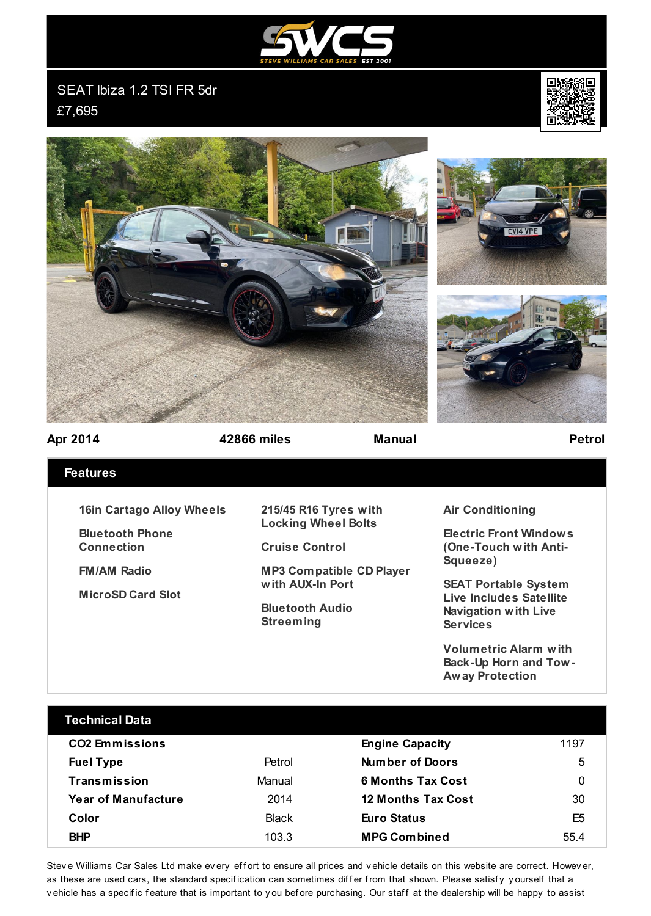

SEAT Ibiza 1.2 TSI FR 5dr £7,695









**Apr 2014 42866 miles Manual Petrol**

## **Features**

**16in Cartago Alloy Wheels**

**Bluetooth Phone Connection**

**FM/AM Radio**

**MicroSD Card Slot**

**215/45 R16 Tyres with Locking Wheel Bolts**

**Cruise Control**

**MP3 Compatible CD Player with AUX-In Port**

**Bluetooth Audio Streeming**

## **Air Conditioning**

**Electric Front Windows (One-Touch with Anti-Squeeze)**

**SEAT Portable System Live Includes Satellite Navigation with Live Services**

**Volumetric Alarm with Back-Up Horn and Tow-Away Protection**

| <b>Technical Data</b>      |              |                           |                |
|----------------------------|--------------|---------------------------|----------------|
| <b>CO2 Emmissions</b>      |              | <b>Engine Capacity</b>    | 1197           |
| <b>Fuel Type</b>           | Petrol       | Number of Doors           | 5              |
| Transmission               | Manual       | <b>6 Months Tax Cost</b>  | 0              |
| <b>Year of Manufacture</b> | 2014         | <b>12 Months Tax Cost</b> | 30             |
| Color                      | <b>Black</b> | Euro Status               | E <sub>5</sub> |
| <b>BHP</b>                 | 103.3        | <b>MPG Combined</b>       | 55.4           |
|                            |              |                           |                |

Stev e Williams Car Sales Ltd make ev ery effort to ensure all prices and vehicle details on this website are correct. Howev er, as these are used cars, the standard specification can sometimes differ from that shown. Please satisfy yourself that a vehicle has a specific feature that is important to you before purchasing. Our staff at the dealership will be happy to assist